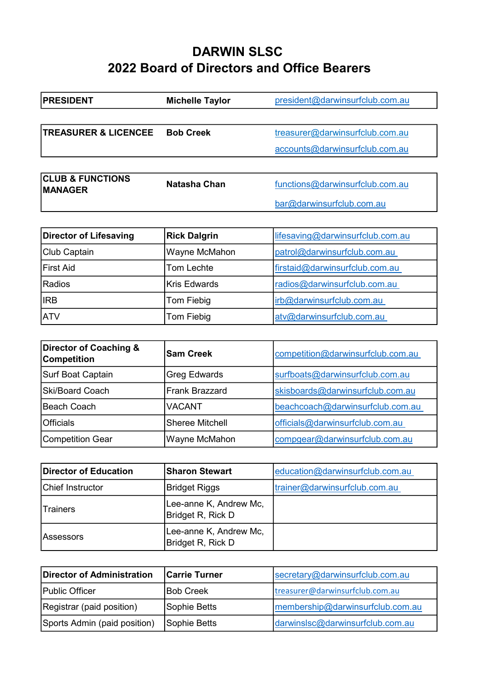## DARWIN SLSC 2022 Board of Directors and Office Bearers

| <b>PRESIDENT</b>                              | <b>Michelle Taylor</b> | president@darwinsurfclub.com.au  |
|-----------------------------------------------|------------------------|----------------------------------|
|                                               |                        |                                  |
| <b>TREASURER &amp; LICENCEE</b>               | <b>Bob Creek</b>       | treasurer@darwinsurfclub.com.au  |
|                                               |                        | accounts@darwinsurfclub.com.au   |
|                                               |                        |                                  |
| <b>CLUB &amp; FUNCTIONS</b><br><b>MANAGER</b> | Natasha Chan           | functions@darwinsurfclub.com.au  |
|                                               |                        | bar@darwinsurfclub.com.au        |
|                                               |                        |                                  |
| <b>Director of Lifesaving</b>                 | <b>Rick Dalgrin</b>    | lifesaving@darwinsurfclub.com.au |
| Club Captain                                  | Wayne McMahon          | patrol@darwinsurfclub.com.au     |
| <b>First Aid</b>                              | Tom Lechte             | firstaid@darwinsurfclub.com.au   |
| Radios                                        | <b>Kris Edwards</b>    | radios@darwinsurfclub.com.au     |
| <b>IRB</b>                                    | Tom Fiebig             | irb@darwinsurfclub.com.au        |

| Director of Coaching &<br><b>Competition</b> | <b>Sam Creek</b>       | competition@darwinsurfclub.com.au |
|----------------------------------------------|------------------------|-----------------------------------|
| Surf Boat Captain                            | Greg Edwards           | surfboats@darwinsurfclub.com.au   |
| <b>Ski/Board Coach</b>                       | Frank Brazzard         | skisboards@darwinsurfclub.com.au  |
| Beach Coach                                  | <b>VACANT</b>          | beachcoach@darwinsurfclub.com.au  |
| <b>Officials</b>                             | <b>Sheree Mitchell</b> | officials@darwinsurfclub.com.au   |
| Competition Gear                             | Wayne McMahon          | compgear@darwinsurfclub.com.au    |

ATV **Tom Fiebig** atv@darwinsurfclub.com.au

| Director of Education   | <b>Sharon Stewart</b>                       | education@darwinsurfclub.com.au |
|-------------------------|---------------------------------------------|---------------------------------|
| <b>Chief Instructor</b> | Bridget Riggs                               | trainer@darwinsurfclub.com.au   |
| <b>Trainers</b>         | Lee-anne K, Andrew Mc,<br>Bridget R, Rick D |                                 |
| lAssessors              | Lee-anne K, Andrew Mc,<br>Bridget R, Rick D |                                 |

| Director of Administration   | <b>Carrie Turner</b> | secretary@darwinsurfclub.com.au  |
|------------------------------|----------------------|----------------------------------|
| <b>Public Officer</b>        | <b>Bob Creek</b>     | treasurer@darwinsurfclub.com.au  |
| Registrar (paid position)    | Sophie Betts         | membership@darwinsurfclub.com.au |
| Sports Admin (paid position) | Sophie Betts         | darwinslsc@darwinsurfclub.com.au |